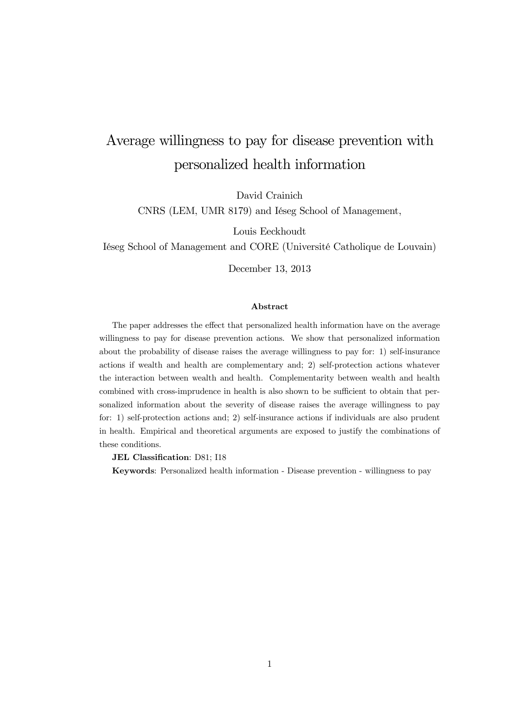# Average willingness to pay for disease prevention with personalized health information

David Crainich

CNRS (LEM, UMR 8179) and Iéseg School of Management,

Louis Eeckhoudt

Iéseg School of Management and CORE (Université Catholique de Louvain)

December 13, 2013

#### Abstract

The paper addresses the effect that personalized health information have on the average willingness to pay for disease prevention actions. We show that personalized information about the probability of disease raises the average willingness to pay for: 1) self-insurance actions if wealth and health are complementary and; 2) self-protection actions whatever the interaction between wealth and health. Complementarity between wealth and health combined with cross-imprudence in health is also shown to be sufficient to obtain that personalized information about the severity of disease raises the average willingness to pay for: 1) self-protection actions and; 2) self-insurance actions if individuals are also prudent in health. Empirical and theoretical arguments are exposed to justify the combinations of these conditions.

JEL Classification: D81; I18

Keywords: Personalized health information - Disease prevention - willingness to pay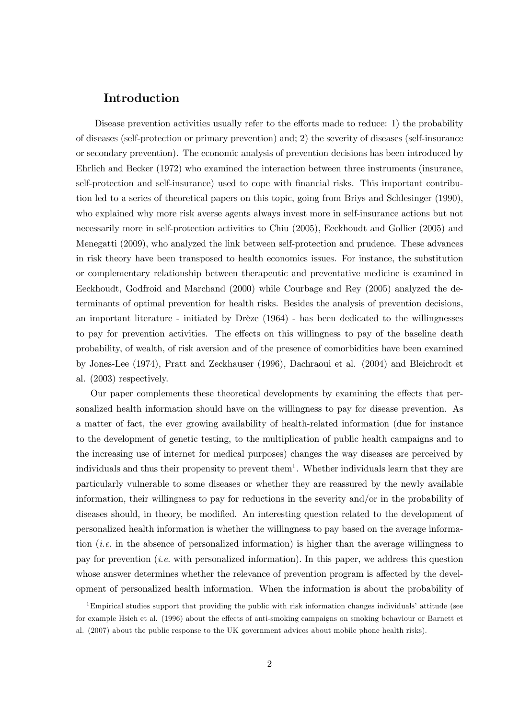## Introduction

Disease prevention activities usually refer to the efforts made to reduce: 1) the probability of diseases (self-protection or primary prevention) and; 2) the severity of diseases (self-insurance or secondary prevention). The economic analysis of prevention decisions has been introduced by Ehrlich and Becker (1972) who examined the interaction between three instruments (insurance, self-protection and self-insurance) used to cope with financial risks. This important contribution led to a series of theoretical papers on this topic, going from Briys and Schlesinger (1990), who explained why more risk averse agents always invest more in self-insurance actions but not necessarily more in self-protection activities to Chiu (2005), Eeckhoudt and Gollier (2005) and Menegatti (2009), who analyzed the link between self-protection and prudence. These advances in risk theory have been transposed to health economics issues. For instance, the substitution or complementary relationship between therapeutic and preventative medicine is examined in Eeckhoudt, Godfroid and Marchand (2000) while Courbage and Rey (2005) analyzed the determinants of optimal prevention for health risks. Besides the analysis of prevention decisions, an important literature - initiated by Drèze (1964) - has been dedicated to the willingnesses to pay for prevention activities. The effects on this willingness to pay of the baseline death probability, of wealth, of risk aversion and of the presence of comorbidities have been examined by Jones-Lee (1974), Pratt and Zeckhauser (1996), Dachraoui et al. (2004) and Bleichrodt et al. (2003) respectively.

Our paper complements these theoretical developments by examining the effects that personalized health information should have on the willingness to pay for disease prevention. As a matter of fact, the ever growing availability of health-related information (due for instance to the development of genetic testing, to the multiplication of public health campaigns and to the increasing use of internet for medical purposes) changes the way diseases are perceived by individuals and thus their propensity to prevent them<sup>1</sup>. Whether individuals learn that they are particularly vulnerable to some diseases or whether they are reassured by the newly available information, their willingness to pay for reductions in the severity and/or in the probability of diseases should, in theory, be modified. An interesting question related to the development of personalized health information is whether the willingness to pay based on the average information (i.e. in the absence of personalized information) is higher than the average willingness to pay for prevention (i.e. with personalized information). In this paper, we address this question whose answer determines whether the relevance of prevention program is affected by the development of personalized health information. When the information is about the probability of

<sup>1</sup>Empirical studies support that providing the public with risk information changes individuals' attitude (see for example Hsieh et al. (1996) about the effects of anti-smoking campaigns on smoking behaviour or Barnett et al. (2007) about the public response to the UK government advices about mobile phone health risks).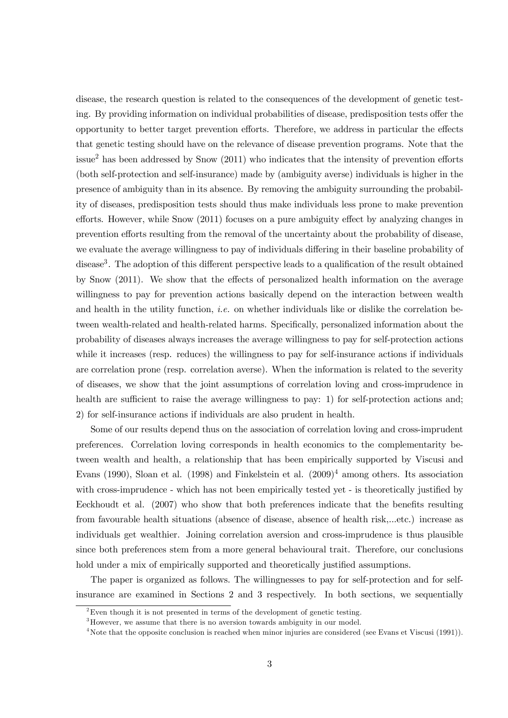disease, the research question is related to the consequences of the development of genetic testing. By providing information on individual probabilities of disease, predisposition tests offer the opportunity to better target prevention efforts. Therefore, we address in particular the effects that genetic testing should have on the relevance of disease prevention programs. Note that the issue<sup>2</sup> has been addressed by Snow  $(2011)$  who indicates that the intensity of prevention efforts (both self-protection and self-insurance) made by (ambiguity averse) individuals is higher in the presence of ambiguity than in its absence. By removing the ambiguity surrounding the probability of diseases, predisposition tests should thus make individuals less prone to make prevention efforts. However, while Snow (2011) focuses on a pure ambiguity effect by analyzing changes in prevention efforts resulting from the removal of the uncertainty about the probability of disease, we evaluate the average willingness to pay of individuals differing in their baseline probability of disease<sup>3</sup>. The adoption of this different perspective leads to a qualification of the result obtained by Snow (2011). We show that the effects of personalized health information on the average willingness to pay for prevention actions basically depend on the interaction between wealth and health in the utility function, *i.e.* on whether individuals like or dislike the correlation between wealth-related and health-related harms. Specifically, personalized information about the probability of diseases always increases the average willingness to pay for self-protection actions while it increases (resp. reduces) the willingness to pay for self-insurance actions if individuals are correlation prone (resp. correlation averse). When the information is related to the severity of diseases, we show that the joint assumptions of correlation loving and cross-imprudence in health are sufficient to raise the average willingness to pay: 1) for self-protection actions and; 2) for self-insurance actions if individuals are also prudent in health.

Some of our results depend thus on the association of correlation loving and cross-imprudent preferences. Correlation loving corresponds in health economics to the complementarity between wealth and health, a relationship that has been empirically supported by Viscusi and Evans (1990), Sloan et al. (1998) and Finkelstein et al.  $(2009)^4$  among others. Its association with cross-imprudence - which has not been empirically tested yet - is theoretically justified by Eeckhoudt et al. (2007) who show that both preferences indicate that the benefits resulting from favourable health situations (absence of disease, absence of health risk,...etc.) increase as individuals get wealthier. Joining correlation aversion and cross-imprudence is thus plausible since both preferences stem from a more general behavioural trait. Therefore, our conclusions hold under a mix of empirically supported and theoretically justified assumptions.

The paper is organized as follows. The willingnesses to pay for self-protection and for selfinsurance are examined in Sections 2 and 3 respectively. In both sections, we sequentially

 $2$ Even though it is not presented in terms of the development of genetic testing.

<sup>&</sup>lt;sup>3</sup>However, we assume that there is no aversion towards ambiguity in our model.

<sup>&</sup>lt;sup>4</sup>Note that the opposite conclusion is reached when minor injuries are considered (see Evans et Viscusi (1991)).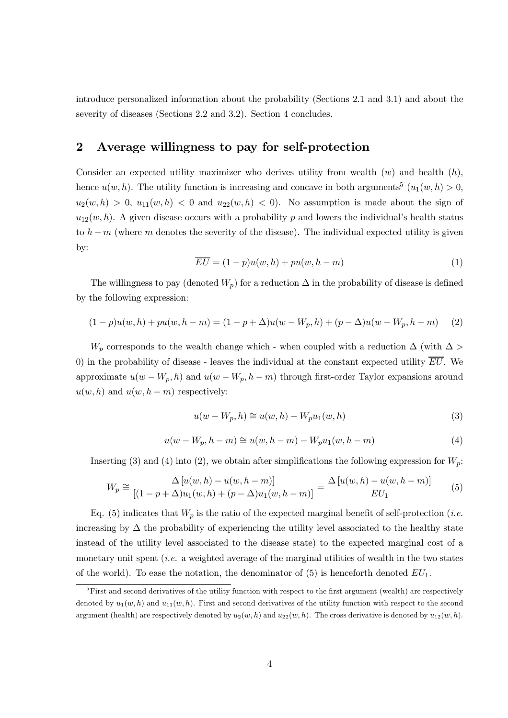introduce personalized information about the probability (Sections 2.1 and 3.1) and about the severity of diseases (Sections 2.2 and 3.2). Section 4 concludes.

## 2 Average willingness to pay for self-protection

Consider an expected utility maximizer who derives utility from wealth  $(w)$  and health  $(h)$ , hence  $u(w, h)$ . The utility function is increasing and concave in both arguments<sup>5</sup>  $(u_1(w, h) > 0$ ,  $u_2(w, h) > 0$ ,  $u_{11}(w, h) < 0$  and  $u_{22}(w, h) < 0$ . No assumption is made about the sign of  $u_{12}(w, h)$ . A given disease occurs with a probability p and lowers the individual's health status to  $h - m$  (where m denotes the severity of the disease). The individual expected utility is given by:

$$
\overline{EU} = (1 - p)u(w, h) + pu(w, h - m)
$$
\n(1)

The willingness to pay (denoted  $W_p$ ) for a reduction  $\Delta$  in the probability of disease is defined by the following expression:

$$
(1-p)u(w,h) + pu(w,h-m) = (1-p+\Delta)u(w-W_p,h) + (p-\Delta)u(w-W_p,h-m)
$$
 (2)

W<sub>p</sub> corresponds to the wealth change which - when coupled with a reduction  $\Delta$  (with  $\Delta$ ) 0) in the probability of disease - leaves the individual at the constant expected utility  $\overline{EU}$ . We approximate  $u(w - W_p, h)$  and  $u(w - W_p, h - m)$  through first-order Taylor expansions around  $u(w, h)$  and  $u(w, h - m)$  respectively:

$$
u(w - W_p, h) \cong u(w, h) - W_p u_1(w, h)
$$
\n
$$
(3)
$$

$$
u(w - W_p, h - m) \cong u(w, h - m) - W_p u_1(w, h - m)
$$
\n(4)

Inserting (3) and (4) into (2), we obtain after simplifications the following expression for  $W_p$ :

$$
W_p \cong \frac{\Delta [u(w, h) - u(w, h - m)]}{[(1 - p + \Delta)u_1(w, h) + (p - \Delta)u_1(w, h - m)]} = \frac{\Delta [u(w, h) - u(w, h - m)]}{EU_1}
$$
(5)

Eq. (5) indicates that  $W_p$  is the ratio of the expected marginal benefit of self-protection (*i.e.* increasing by  $\Delta$  the probability of experiencing the utility level associated to the healthy state instead of the utility level associated to the disease state) to the expected marginal cost of a monetary unit spent (*i.e.* a weighted average of the marginal utilities of wealth in the two states of the world). To ease the notation, the denominator of  $(5)$  is henceforth denoted  $EU_1$ .

 ${}^{5}$ First and second derivatives of the utility function with respect to the first argument (wealth) are respectively denoted by  $u_1(w, h)$  and  $u_{11}(w, h)$ . First and second derivatives of the utility function with respect to the second argument (health) are respectively denoted by  $u_2(w, h)$  and  $u_{22}(w, h)$ . The cross derivative is denoted by  $u_{12}(w, h)$ .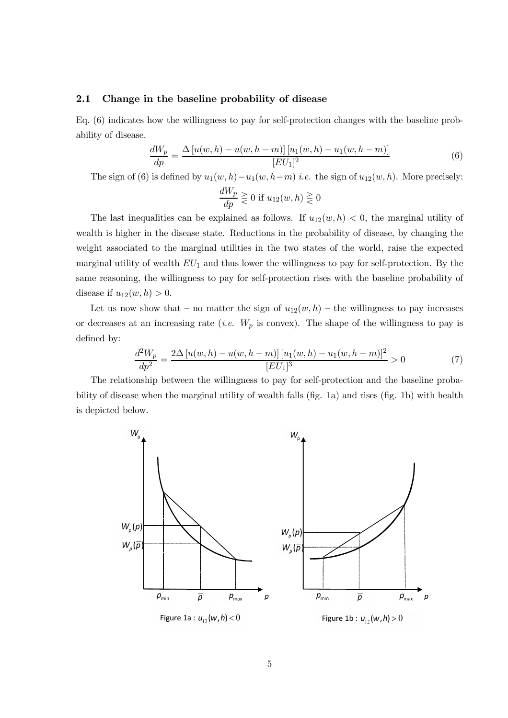#### 2.1 Change in the baseline probability of disease

Eq. (6) indicates how the willingness to pay for self-protection changes with the baseline probability of disease.

$$
\frac{dW_p}{dp} = \frac{\Delta \left[ u(w, h) - u(w, h - m) \right] \left[ u_1(w, h) - u_1(w, h - m) \right]}{[EU_1]^2} \tag{6}
$$

The sign of (6) is defined by  $u_1(w, h) - u_1(w, h-m)$  *i.e.* the sign of  $u_{12}(w, h)$ . More precisely:

$$
\frac{dW_p}{dp} \geq 0 \text{ if } u_{12}(w, h) \geq 0
$$

The last inequalities can be explained as follows. If  $u_{12}(w, h) < 0$ , the marginal utility of wealth is higher in the disease state. Reductions in the probability of disease, by changing the weight associated to the marginal utilities in the two states of the world, raise the expected marginal utility of wealth  $EU_1$  and thus lower the willingness to pay for self-protection. By the same reasoning, the willingness to pay for self-protection rises with the baseline probability of disease if  $u_{12}(w, h) > 0$ .

Let us now show that – no matter the sign of  $u_{12}(w, h)$  – the willingness to pay increases or decreases at an increasing rate (*i.e.*  $W_p$  is convex). The shape of the willingness to pay is defined by:

$$
\frac{d^2W_p}{dp^2} = \frac{2\Delta[u(w,h) - u(w,h-m)] [u_1(w,h) - u_1(w,h-m)]^2}{[EU_1]^3} > 0
$$
\n(7)

The relationship between the willingness to pay for self-protection and the baseline probability of disease when the marginal utility of wealth falls (fig. 1a) and rises (fig. 1b) with health is depicted below.

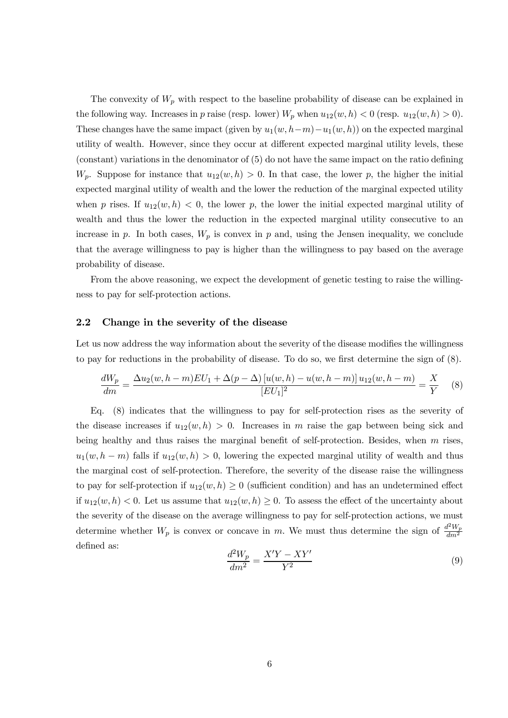The convexity of  $W_p$  with respect to the baseline probability of disease can be explained in the following way. Increases in p raise (resp. lower)  $W_p$  when  $u_{12}(w, h) < 0$  (resp.  $u_{12}(w, h) > 0$ ). These changes have the same impact (given by  $u_1(w, h-m)-u_1(w, h)$ ) on the expected marginal utility of wealth. However, since they occur at different expected marginal utility levels, these (constant) variations in the denominator of (5) do not have the same impact on the ratio defining  $W_p$ . Suppose for instance that  $u_{12}(w, h) > 0$ . In that case, the lower p, the higher the initial expected marginal utility of wealth and the lower the reduction of the marginal expected utility when p rises. If  $u_{12}(w, h) < 0$ , the lower p, the lower the initial expected marginal utility of wealth and thus the lower the reduction in the expected marginal utility consecutive to an increase in p. In both cases,  $W_p$  is convex in p and, using the Jensen inequality, we conclude that the average willingness to pay is higher than the willingness to pay based on the average probability of disease.

From the above reasoning, we expect the development of genetic testing to raise the willingness to pay for self-protection actions.

#### 2.2 Change in the severity of the disease

Let us now address the way information about the severity of the disease modifies the willingness to pay for reductions in the probability of disease. To do so, we first determine the sign of (8).

$$
\frac{dW_p}{dm} = \frac{\Delta u_2(w, h-m)EU_1 + \Delta (p-\Delta) [u(w, h) - u(w, h-m)] u_{12}(w, h-m)}{[EU_1]^2} = \frac{X}{Y}
$$
(8)

Eq. (8) indicates that the willingness to pay for self-protection rises as the severity of the disease increases if  $u_{12}(w, h) > 0$ . Increases in m raise the gap between being sick and being healthy and thus raises the marginal benefit of self-protection. Besides, when  $m$  rises,  $u_1(w, h - m)$  falls if  $u_{12}(w, h) > 0$ , lowering the expected marginal utility of wealth and thus the marginal cost of self-protection. Therefore, the severity of the disease raise the willingness to pay for self-protection if  $u_{12}(w, h) \geq 0$  (sufficient condition) and has an undetermined effect if  $u_{12}(w, h) < 0$ . Let us assume that  $u_{12}(w, h) \geq 0$ . To assess the effect of the uncertainty about the severity of the disease on the average willingness to pay for self-protection actions, we must determine whether  $W_p$  is convex or concave in m. We must thus determine the sign of  $\frac{d^2W_p}{dm^2}$  $dm^2$ defined as:

$$
\frac{d^2W_p}{dm^2} = \frac{X'Y - XY'}{Y^2} \tag{9}
$$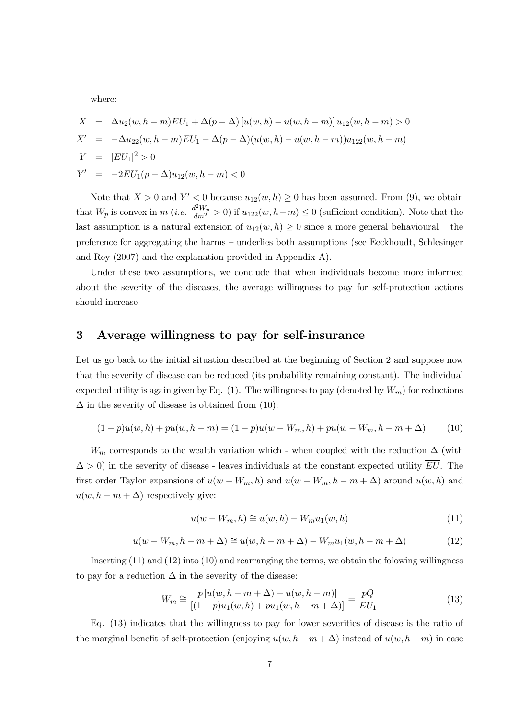where:

$$
X = \Delta u_2(w, h - m)EU_1 + \Delta (p - \Delta) [u(w, h) - u(w, h - m)] u_{12}(w, h - m) > 0
$$
  
\n
$$
X' = -\Delta u_{22}(w, h - m)EU_1 - \Delta (p - \Delta) (u(w, h) - u(w, h - m)) u_{122}(w, h - m)
$$
  
\n
$$
Y = [EU_1]^2 > 0
$$
  
\n
$$
Y' = -2EU_1(p - \Delta)u_{12}(w, h - m) < 0
$$

Note that  $X > 0$  and  $Y' < 0$  because  $u_{12}(w, h) \ge 0$  has been assumed. From (9), we obtain that  $W_p$  is convex in m (*i.e.*  $\frac{d^2W_p}{dm^2} > 0$ ) if  $u_{122}(w, h-m) \le 0$  (sufficient condition). Note that the last assumption is a natural extension of  $u_{12}(w, h) \geq 0$  since a more general behavioural – the preference for aggregating the harms — underlies both assumptions (see Eeckhoudt, Schlesinger and Rey (2007) and the explanation provided in Appendix A).

Under these two assumptions, we conclude that when individuals become more informed about the severity of the diseases, the average willingness to pay for self-protection actions should increase.

## 3 Average willingness to pay for self-insurance

Let us go back to the initial situation described at the beginning of Section 2 and suppose now that the severity of disease can be reduced (its probability remaining constant). The individual expected utility is again given by Eq. (1). The willingness to pay (denoted by  $W_m$ ) for reductions  $\Delta$  in the severity of disease is obtained from (10):

$$
(1-p)u(w,h) + pu(w,h-m) = (1-p)u(w-W_m,h) + pu(w-W_m,h-m+\Delta)
$$
 (10)

 $W_m$  corresponds to the wealth variation which - when coupled with the reduction  $\Delta$  (with  $\Delta > 0$ ) in the severity of disease - leaves individuals at the constant expected utility  $\overline{EU}$ . The first order Taylor expansions of  $u(w - W_m, h)$  and  $u(w - W_m, h - m + \Delta)$  around  $u(w, h)$  and  $u(w, h - m + \Delta)$  respectively give:

$$
u(w - W_m, h) \cong u(w, h) - W_m u_1(w, h)
$$
\n
$$
(11)
$$

$$
u(w - W_m, h - m + \Delta) \cong u(w, h - m + \Delta) - W_m u_1(w, h - m + \Delta)
$$
 (12)

Inserting (11) and (12) into (10) and rearranging the terms, we obtain the folowing willingness to pay for a reduction  $\Delta$  in the severity of the disease:

$$
W_m \cong \frac{p\left[u(w, h-m+\Delta) - u(w, h-m)\right]}{\left[(1-p)u_1(w, h) + pu_1(w, h-m+\Delta)\right]} = \frac{pQ}{EU_1}
$$
\n(13)

Eq. (13) indicates that the willingness to pay for lower severities of disease is the ratio of the marginal benefit of self-protection (enjoying  $u(w, h - m + \Delta)$ ) instead of  $u(w, h - m)$  in case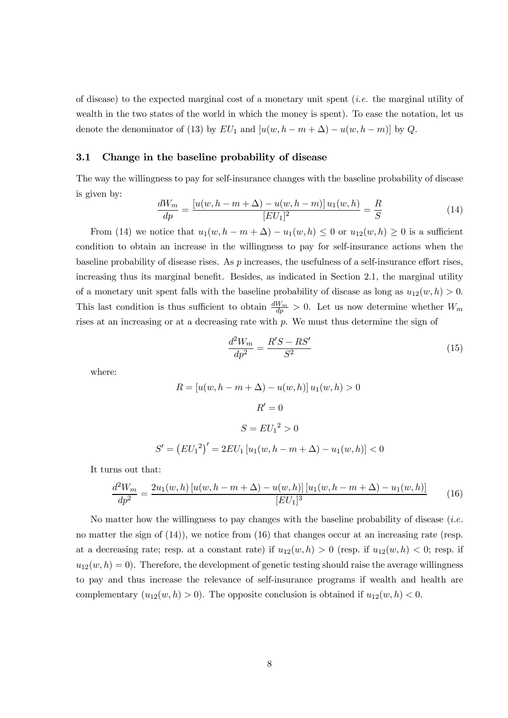of disease) to the expected marginal cost of a monetary unit spent (i.e. the marginal utility of wealth in the two states of the world in which the money is spent). To ease the notation, let us denote the denominator of (13) by  $EU_1$  and  $[u(w, h - m + \Delta) - u(w, h - m)]$  by Q.

#### 3.1 Change in the baseline probability of disease

The way the willingness to pay for self-insurance changes with the baseline probability of disease is given by:

$$
\frac{dW_m}{dp} = \frac{[u(w, h - m + \Delta) - u(w, h - m)]u_1(w, h)}{[EU_1]^2} = \frac{R}{S}
$$
(14)

From (14) we notice that  $u_1(w, h - m + \Delta) - u_1(w, h) \leq 0$  or  $u_{12}(w, h) \geq 0$  is a sufficient condition to obtain an increase in the willingness to pay for self-insurance actions when the baseline probability of disease rises. As p increases, the usefulness of a self-insurance effort rises, increasing thus its marginal benefit. Besides, as indicated in Section 2.1, the marginal utility of a monetary unit spent falls with the baseline probability of disease as long as  $u_{12}(w, h) > 0$ . This last condition is thus sufficient to obtain  $\frac{dW_m}{dp} > 0$ . Let us now determine whether  $W_m$ rises at an increasing or at a decreasing rate with  $p$ . We must thus determine the sign of

$$
\frac{d^2W_m}{dp^2} = \frac{R'S - RS'}{S^2} \tag{15}
$$

where:

$$
R = [u(w, h - m + \Delta) - u(w, h)] u_1(w, h) > 0
$$

$$
R' = 0
$$

$$
S = EU_1^2 > 0
$$

$$
S' = (EU_1^2)' = 2EU_1 [u_1(w, h - m + \Delta) - u_1(w, h)] < 0
$$

It turns out that:

$$
\frac{d^2W_m}{dp^2} = \frac{2u_1(w,h)\left[u(w,h-m+\Delta) - u(w,h)\right]\left[u_1(w,h-m+\Delta) - u_1(w,h)\right]}{[EU_1]^3} \tag{16}
$$

No matter how the willingness to pay changes with the baseline probability of disease (i.e. no matter the sign of (14)), we notice from (16) that changes occur at an increasing rate (resp. at a decreasing rate; resp. at a constant rate) if  $u_{12}(w, h) > 0$  (resp. if  $u_{12}(w, h) < 0$ ; resp. if  $u_{12}(w, h) = 0$ . Therefore, the development of genetic testing should raise the average willingness to pay and thus increase the relevance of self-insurance programs if wealth and health are complementary  $(u_{12}(w, h) > 0)$ . The opposite conclusion is obtained if  $u_{12}(w, h) < 0$ .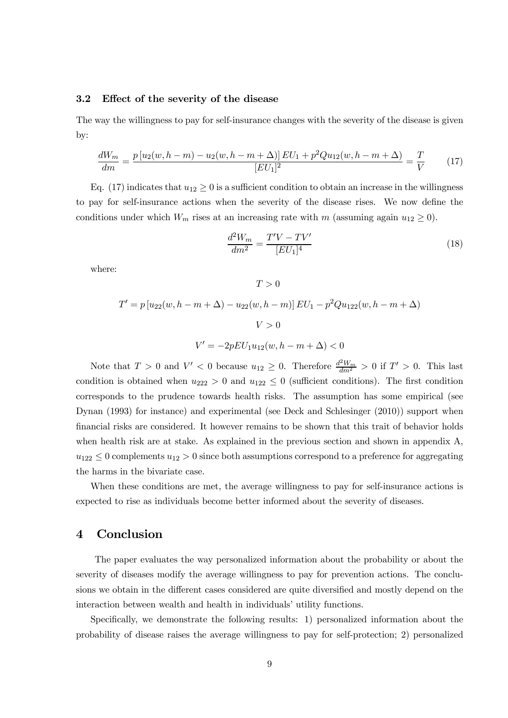#### 3.2 Effect of the severity of the disease

The way the willingness to pay for self-insurance changes with the severity of the disease is given by:

$$
\frac{dW_m}{dm} = \frac{p[u_2(w, h-m) - u_2(w, h-m+\Delta)] \, EU_1 + p^2 Q u_{12}(w, h-m+\Delta)}{[EU_1]^2} = \frac{T}{V} \tag{17}
$$

Eq. (17) indicates that  $u_{12} \ge 0$  is a sufficient condition to obtain an increase in the willingness to pay for self-insurance actions when the severity of the disease rises. We now define the conditions under which  $W_m$  rises at an increasing rate with m (assuming again  $u_{12} \ge 0$ ).

$$
\frac{d^2W_m}{dm^2} = \frac{T'V - TV'}{[EU_1]^4}
$$
\n(18)

where:

 $T > 0$ 

$$
T' = p [u_{22}(w, h - m + \Delta) - u_{22}(w, h - m)] EU_1 - p^2 Qu_{122}(w, h - m + \Delta)
$$
  

$$
V > 0
$$
  

$$
V' = -2pEU_1u_{12}(w, h - m + \Delta) < 0
$$

Note that  $T > 0$  and  $V' < 0$  because  $u_{12} \ge 0$ . Therefore  $\frac{d^2 W_m}{dm^2} > 0$  if  $T' > 0$ . This last condition is obtained when  $u_{222} > 0$  and  $u_{122} \le 0$  (sufficient conditions). The first condition corresponds to the prudence towards health risks. The assumption has some empirical (see Dynan (1993) for instance) and experimental (see Deck and Schlesinger (2010)) support when financial risks are considered. It however remains to be shown that this trait of behavior holds when health risk are at stake. As explained in the previous section and shown in appendix A,  $u_{122} \leq 0$  complements  $u_{12} > 0$  since both assumptions correspond to a preference for aggregating the harms in the bivariate case.

When these conditions are met, the average willingness to pay for self-insurance actions is expected to rise as individuals become better informed about the severity of diseases.

### 4 Conclusion

The paper evaluates the way personalized information about the probability or about the severity of diseases modify the average willingness to pay for prevention actions. The conclusions we obtain in the different cases considered are quite diversified and mostly depend on the interaction between wealth and health in individuals' utility functions.

Specifically, we demonstrate the following results: 1) personalized information about the probability of disease raises the average willingness to pay for self-protection; 2) personalized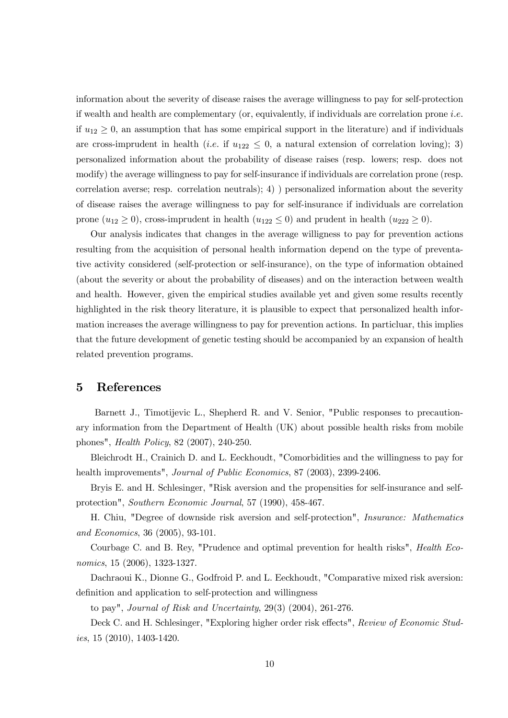information about the severity of disease raises the average willingness to pay for self-protection if wealth and health are complementary (or, equivalently, if individuals are correlation prone i.e. if  $u_{12} \geq 0$ , an assumption that has some empirical support in the literature) and if individuals are cross-imprudent in health (*i.e.* if  $u_{122} \leq 0$ , a natural extension of correlation loving); 3) personalized information about the probability of disease raises (resp. lowers; resp. does not modify) the average willingness to pay for self-insurance if individuals are correlation prone (resp. correlation averse; resp. correlation neutrals); 4) ) personalized information about the severity of disease raises the average willingness to pay for self-insurance if individuals are correlation prone  $(u_{12} \geq 0)$ , cross-imprudent in health  $(u_{122} \leq 0)$  and prudent in health  $(u_{222} \geq 0)$ .

Our analysis indicates that changes in the average willigness to pay for prevention actions resulting from the acquisition of personal health information depend on the type of preventative activity considered (self-protection or self-insurance), on the type of information obtained (about the severity or about the probability of diseases) and on the interaction between wealth and health. However, given the empirical studies available yet and given some results recently highlighted in the risk theory literature, it is plausible to expect that personalized health information increases the average willingness to pay for prevention actions. In particluar, this implies that the future development of genetic testing should be accompanied by an expansion of health related prevention programs.

## 5 References

Barnett J., Timotijevic L., Shepherd R. and V. Senior, "Public responses to precautionary information from the Department of Health (UK) about possible health risks from mobile phones", Health Policy, 82 (2007), 240-250.

Bleichrodt H., Crainich D. and L. Eeckhoudt, "Comorbidities and the willingness to pay for health improvements", Journal of Public Economics, 87 (2003), 2399-2406.

Bryis E. and H. Schlesinger, "Risk aversion and the propensities for self-insurance and selfprotection", Southern Economic Journal, 57 (1990), 458-467.

H. Chiu, "Degree of downside risk aversion and self-protection", Insurance: Mathematics and Economics, 36 (2005), 93-101.

Courbage C. and B. Rey, "Prudence and optimal prevention for health risks", Health Economics, 15 (2006), 1323-1327.

Dachraoui K., Dionne G., Godfroid P. and L. Eeckhoudt, "Comparative mixed risk aversion: definition and application to self-protection and willingness

to pay", Journal of Risk and Uncertainty, 29(3) (2004), 261-276.

Deck C. and H. Schlesinger, "Exploring higher order risk effects", Review of Economic Stud*ies*, 15  $(2010)$ , 1403-1420.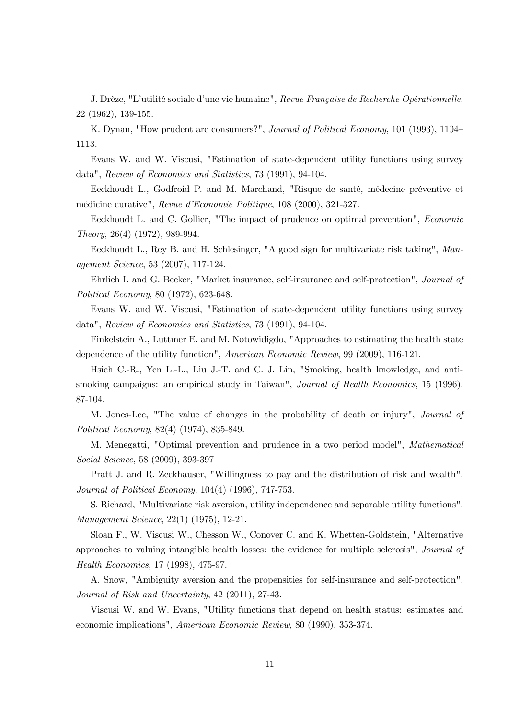J. Drèze, "L'utilité sociale d'une vie humaine", Revue Française de Recherche Opérationnelle, 22 (1962), 139-155.

K. Dynan, "How prudent are consumers?", Journal of Political Economy, 101 (1993), 1104– 1113.

Evans W. and W. Viscusi, "Estimation of state-dependent utility functions using survey data", Review of Economics and Statistics, 73 (1991), 94-104.

Eeckhoudt L., Godfroid P. and M. Marchand, "Risque de santé, médecine préventive et médicine curative", Revue d'Economie Politique, 108 (2000), 321-327.

Eeckhoudt L. and C. Gollier, "The impact of prudence on optimal prevention", Economic Theory, 26(4) (1972), 989-994.

Eeckhoudt L., Rey B. and H. Schlesinger, "A good sign for multivariate risk taking", Management Science, 53 (2007), 117-124.

Ehrlich I. and G. Becker, "Market insurance, self-insurance and self-protection", Journal of Political Economy, 80 (1972), 623-648.

Evans W. and W. Viscusi, "Estimation of state-dependent utility functions using survey data", Review of Economics and Statistics, 73 (1991), 94-104.

Finkelstein A., Luttmer E. and M. Notowidigdo, "Approaches to estimating the health state dependence of the utility function", American Economic Review, 99 (2009), 116-121.

Hsieh C.-R., Yen L.-L., Liu J.-T. and C. J. Lin, "Smoking, health knowledge, and antismoking campaigns: an empirical study in Taiwan", *Journal of Health Economics*, 15 (1996), 87-104.

M. Jones-Lee, "The value of changes in the probability of death or injury", Journal of Political Economy, 82(4) (1974), 835-849.

M. Menegatti, "Optimal prevention and prudence in a two period model", Mathematical Social Science, 58 (2009), 393-397

Pratt J. and R. Zeckhauser, "Willingness to pay and the distribution of risk and wealth", Journal of Political Economy, 104(4) (1996), 747-753.

S. Richard, "Multivariate risk aversion, utility independence and separable utility functions", Management Science, 22(1) (1975), 12-21.

Sloan F., W. Viscusi W., Chesson W., Conover C. and K. Whetten-Goldstein, "Alternative approaches to valuing intangible health losses: the evidence for multiple sclerosis", Journal of Health Economics, 17 (1998), 475-97.

A. Snow, "Ambiguity aversion and the propensities for self-insurance and self-protection", Journal of Risk and Uncertainty, 42 (2011), 27-43.

Viscusi W. and W. Evans, "Utility functions that depend on health status: estimates and economic implications", American Economic Review, 80 (1990), 353-374.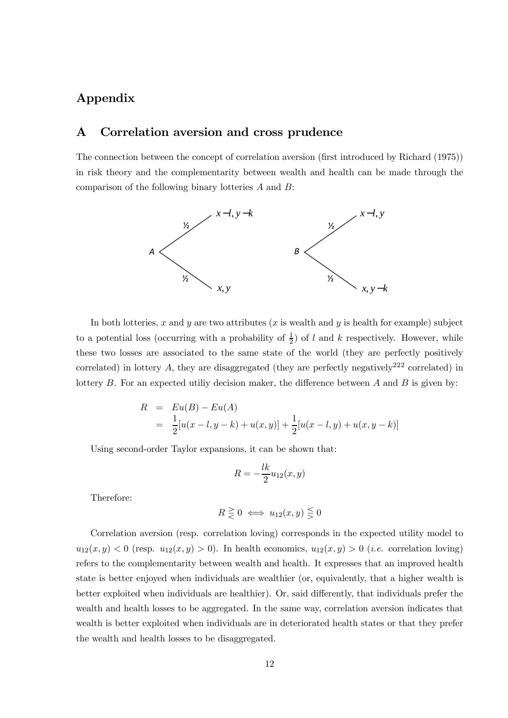# Appendix

## A Correlation aversion and cross prudence

The connection between the concept of correlation aversion (first introduced by Richard (1975)) in risk theory and the complementarity between wealth and health can be made through the comparison of the following binary lotteries A and B:



In both lotteries, x and y are two attributes  $(x$  is wealth and y is health for example) subject to a potential loss (occurring with a probability of  $\frac{1}{2}$ ) of l and k respectively. However, while these two losses are associated to the same state of the world (they are perfectly positively correlated) in lottery A, they are disaggregated (they are perfectly negatively<sup>222</sup> correlated) in lottery  $B$ . For an expected utiliy decision maker, the difference between  $A$  and  $B$  is given by:

$$
R = Eu(B) - Eu(A)
$$
  
=  $\frac{1}{2}[u(x-l, y-k) + u(x, y)] + \frac{1}{2}[u(x-l, y) + u(x, y-k)]$ 

Using second-order Taylor expansions, it can be shown that:

$$
R = -\frac{lk}{2}u_{12}(x, y)
$$

Therefore:

$$
R \geq 0 \iff u_{12}(x, y) \leq 0
$$

Correlation aversion (resp. correlation loving) corresponds in the expected utility model to  $u_{12}(x,y) < 0$  (resp.  $u_{12}(x,y) > 0$ ). In health economics,  $u_{12}(x,y) > 0$  (*i.e.* correlation loving) refers to the complementarity between wealth and health. It expresses that an improved health state is better enjoyed when individuals are wealthier (or, equivalently, that a higher wealth is better exploited when individuals are healthier). Or, said differently, that individuals prefer the wealth and health losses to be aggregated. In the same way, correlation aversion indicates that wealth is better exploited when individuals are in deteriorated health states or that they prefer the wealth and health losses to be disaggregated.